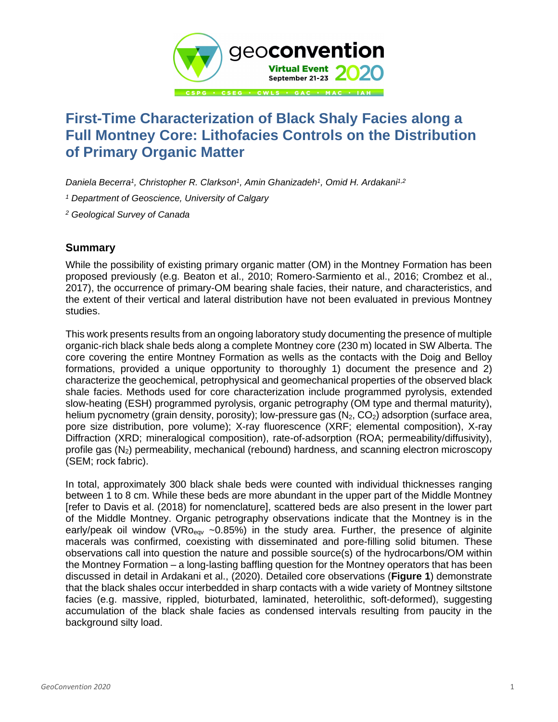

## **First-Time Characterization of Black Shaly Facies along a Full Montney Core: Lithofacies Controls on the Distribution of Primary Organic Matter**

*Daniela Becerra<sup>1</sup> , Christopher R. Clarkson<sup>1</sup> , Amin Ghanizadeh<sup>1</sup> , Omid H. Ardakani1,2*

*<sup>1</sup> Department of Geoscience, University of Calgary*

*<sup>2</sup> Geological Survey of Canada*

## **Summary**

While the possibility of existing primary organic matter (OM) in the Montney Formation has been proposed previously (e.g. Beaton et al., 2010; Romero-Sarmiento et al., 2016; Crombez et al., 2017), the occurrence of primary-OM bearing shale facies, their nature, and characteristics, and the extent of their vertical and lateral distribution have not been evaluated in previous Montney studies.

This work presents results from an ongoing laboratory study documenting the presence of multiple organic-rich black shale beds along a complete Montney core (230 m) located in SW Alberta. The core covering the entire Montney Formation as wells as the contacts with the Doig and Belloy formations, provided a unique opportunity to thoroughly 1) document the presence and 2) characterize the geochemical, petrophysical and geomechanical properties of the observed black shale facies. Methods used for core characterization include programmed pyrolysis, extended slow-heating (ESH) programmed pyrolysis, organic petrography (OM type and thermal maturity), helium pycnometry (grain density, porosity); low-pressure gas  $(N_2, CO_2)$  adsorption (surface area, pore size distribution, pore volume); X-ray fluorescence (XRF; elemental composition), X-ray Diffraction (XRD; mineralogical composition), rate-of-adsorption (ROA; permeability/diffusivity), profile gas  $(N_2)$  permeability, mechanical (rebound) hardness, and scanning electron microscopy (SEM; rock fabric).

In total, approximately 300 black shale beds were counted with individual thicknesses ranging between 1 to 8 cm. While these beds are more abundant in the upper part of the Middle Montney [refer to Davis et al. (2018) for nomenclature], scattered beds are also present in the lower part of the Middle Montney. Organic petrography observations indicate that the Montney is in the early/peak oil window ( $VRo_{\text{eav}}$  ~0.85%) in the study area. Further, the presence of alginite macerals was confirmed, coexisting with disseminated and pore-filling solid bitumen. These observations call into question the nature and possible source(s) of the hydrocarbons/OM within the Montney Formation – a long-lasting baffling question for the Montney operators that has been discussed in detail in Ardakani et al., (2020). Detailed core observations (**Figure 1**) demonstrate that the black shales occur interbedded in sharp contacts with a wide variety of Montney siltstone facies (e.g. massive, rippled, bioturbated, laminated, heterolithic, soft-deformed), suggesting accumulation of the black shale facies as condensed intervals resulting from paucity in the background silty load.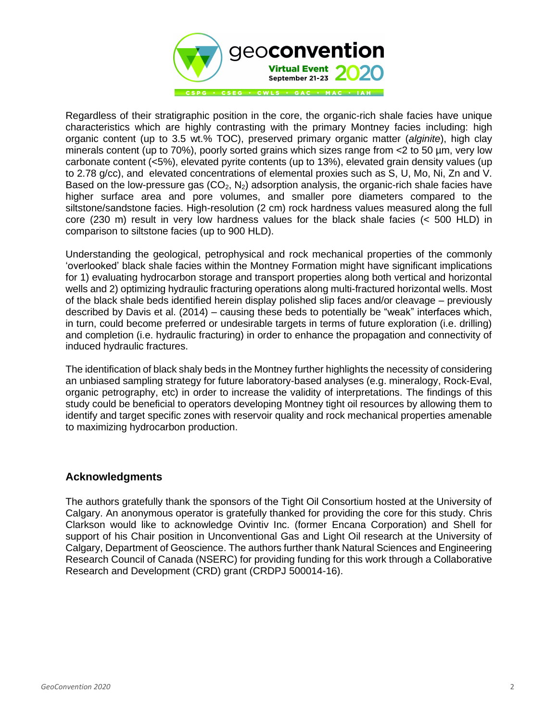

Regardless of their stratigraphic position in the core, the organic-rich shale facies have unique characteristics which are highly contrasting with the primary Montney facies including: high organic content (up to 3.5 wt.% TOC), preserved primary organic matter (*alginite*), high clay minerals content (up to 70%), poorly sorted grains which sizes range from <2 to 50 µm, very low carbonate content (<5%), elevated pyrite contents (up to 13%), elevated grain density values (up to 2.78 g/cc), and elevated concentrations of elemental proxies such as S, U, Mo, Ni, Zn and V. Based on the low-pressure gas  $(CO_2, N_2)$  adsorption analysis, the organic-rich shale facies have higher surface area and pore volumes, and smaller pore diameters compared to the siltstone/sandstone facies. High-resolution (2 cm) rock hardness values measured along the full core (230 m) result in very low hardness values for the black shale facies (< 500 HLD) in comparison to siltstone facies (up to 900 HLD).

Understanding the geological, petrophysical and rock mechanical properties of the commonly 'overlooked' black shale facies within the Montney Formation might have significant implications for 1) evaluating hydrocarbon storage and transport properties along both vertical and horizontal wells and 2) optimizing hydraulic fracturing operations along multi-fractured horizontal wells. Most of the black shale beds identified herein display polished slip faces and/or cleavage – previously described by Davis et al. (2014) – causing these beds to potentially be "weak" interfaces which, in turn, could become preferred or undesirable targets in terms of future exploration (i.e. drilling) and completion (i.e. hydraulic fracturing) in order to enhance the propagation and connectivity of induced hydraulic fractures.

The identification of black shaly beds in the Montney further highlights the necessity of considering an unbiased sampling strategy for future laboratory-based analyses (e.g. mineralogy, Rock-Eval, organic petrography, etc) in order to increase the validity of interpretations. The findings of this study could be beneficial to operators developing Montney tight oil resources by allowing them to identify and target specific zones with reservoir quality and rock mechanical properties amenable to maximizing hydrocarbon production.

## **Acknowledgments**

The authors gratefully thank the sponsors of the Tight Oil Consortium hosted at the University of Calgary. An anonymous operator is gratefully thanked for providing the core for this study. Chris Clarkson would like to acknowledge Ovintiv Inc. (former Encana Corporation) and Shell for support of his Chair position in Unconventional Gas and Light Oil research at the University of Calgary, Department of Geoscience. The authors further thank Natural Sciences and Engineering Research Council of Canada (NSERC) for providing funding for this work through a Collaborative Research and Development (CRD) grant (CRDPJ 500014-16).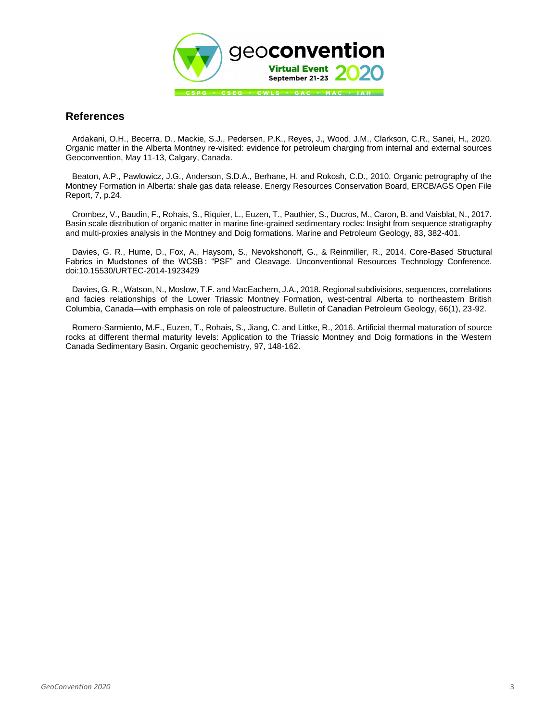

## **References**

Ardakani, O.H., Becerra, D., Mackie, S.J., Pedersen, P.K., Reyes, J., Wood, J.M., Clarkson, C.R., Sanei, H., 2020. Organic matter in the Alberta Montney re-visited: evidence for petroleum charging from internal and external sources Geoconvention, May 11-13, Calgary, Canada.

Beaton, A.P., Pawlowicz, J.G., Anderson, S.D.A., Berhane, H. and Rokosh, C.D., 2010. Organic petrography of the Montney Formation in Alberta: shale gas data release. Energy Resources Conservation Board, ERCB/AGS Open File Report, 7, p.24.

Crombez, V., Baudin, F., Rohais, S., Riquier, L., Euzen, T., Pauthier, S., Ducros, M., Caron, B. and Vaisblat, N., 2017. Basin scale distribution of organic matter in marine fine-grained sedimentary rocks: Insight from sequence stratigraphy and multi-proxies analysis in the Montney and Doig formations. Marine and Petroleum Geology, 83, 382-401.

Davies, G. R., Hume, D., Fox, A., Haysom, S., Nevokshonoff, G., & Reinmiller, R., 2014. Core-Based Structural Fabrics in Mudstones of the WCSB : "PSF" and Cleavage. Unconventional Resources Technology Conference. doi:10.15530/URTEC-2014-1923429

Davies, G. R., Watson, N., Moslow, T.F. and MacEachern, J.A., 2018. Regional subdivisions, sequences, correlations and facies relationships of the Lower Triassic Montney Formation, west-central Alberta to northeastern British Columbia, Canada—with emphasis on role of paleostructure. Bulletin of Canadian Petroleum Geology, 66(1), 23-92.

Romero-Sarmiento, M.F., Euzen, T., Rohais, S., Jiang, C. and Littke, R., 2016. Artificial thermal maturation of source rocks at different thermal maturity levels: Application to the Triassic Montney and Doig formations in the Western Canada Sedimentary Basin. Organic geochemistry, 97, 148-162.